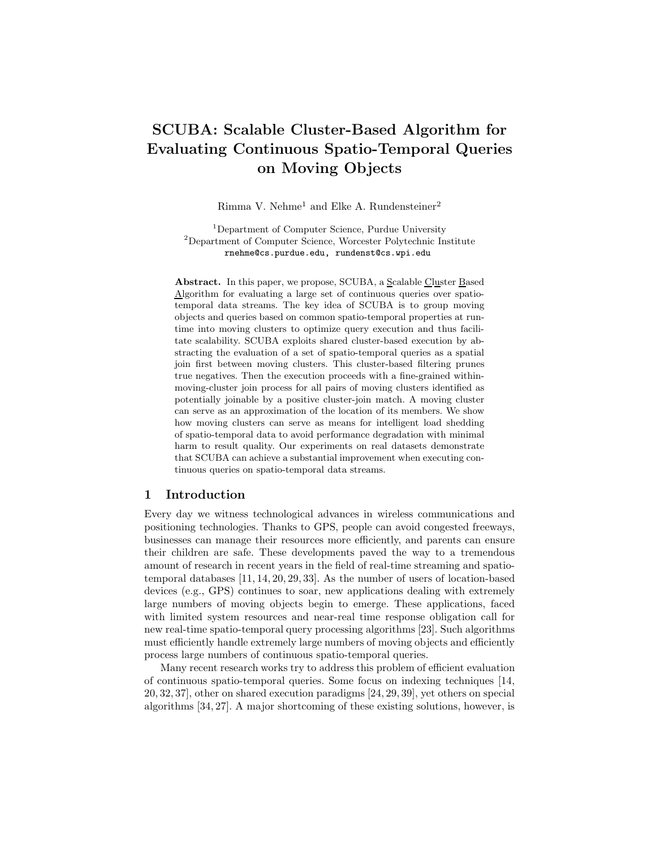# SCUBA: Scalable Cluster-Based Algorithm for Evaluating Continuous Spatio-Temporal Queries on Moving Objects

 $\rm Rimma$ V.  $\rm Nehme^1$  and  $\rm Elke$  A.  $\rm Rundensteiner^2$ 

<sup>1</sup>Department of Computer Science, Purdue University <sup>2</sup>Department of Computer Science, Worcester Polytechnic Institute rnehme@cs.purdue.edu, rundenst@cs.wpi.edu

Abstract. In this paper, we propose, SCUBA, a Scalable Cluster Based Algorithm for evaluating a large set of continuous queries over spatiotemporal data streams. The key idea of SCUBA is to group moving objects and queries based on common spatio-temporal properties at runtime into moving clusters to optimize query execution and thus facilitate scalability. SCUBA exploits shared cluster-based execution by abstracting the evaluation of a set of spatio-temporal queries as a spatial join first between moving clusters. This cluster-based filtering prunes true negatives. Then the execution proceeds with a fine-grained withinmoving-cluster join process for all pairs of moving clusters identified as potentially joinable by a positive cluster-join match. A moving cluster can serve as an approximation of the location of its members. We show how moving clusters can serve as means for intelligent load shedding of spatio-temporal data to avoid performance degradation with minimal harm to result quality. Our experiments on real datasets demonstrate that SCUBA can achieve a substantial improvement when executing continuous queries on spatio-temporal data streams.

## 1 Introduction

Every day we witness technological advances in wireless communications and positioning technologies. Thanks to GPS, people can avoid congested freeways, businesses can manage their resources more efficiently, and parents can ensure their children are safe. These developments paved the way to a tremendous amount of research in recent years in the field of real-time streaming and spatiotemporal databases [11, 14, 20, 29, 33]. As the number of users of location-based devices (e.g., GPS) continues to soar, new applications dealing with extremely large numbers of moving objects begin to emerge. These applications, faced with limited system resources and near-real time response obligation call for new real-time spatio-temporal query processing algorithms [23]. Such algorithms must efficiently handle extremely large numbers of moving objects and efficiently process large numbers of continuous spatio-temporal queries.

Many recent research works try to address this problem of efficient evaluation of continuous spatio-temporal queries. Some focus on indexing techniques [14, 20, 32, 37], other on shared execution paradigms [24, 29, 39], yet others on special algorithms [34, 27]. A major shortcoming of these existing solutions, however, is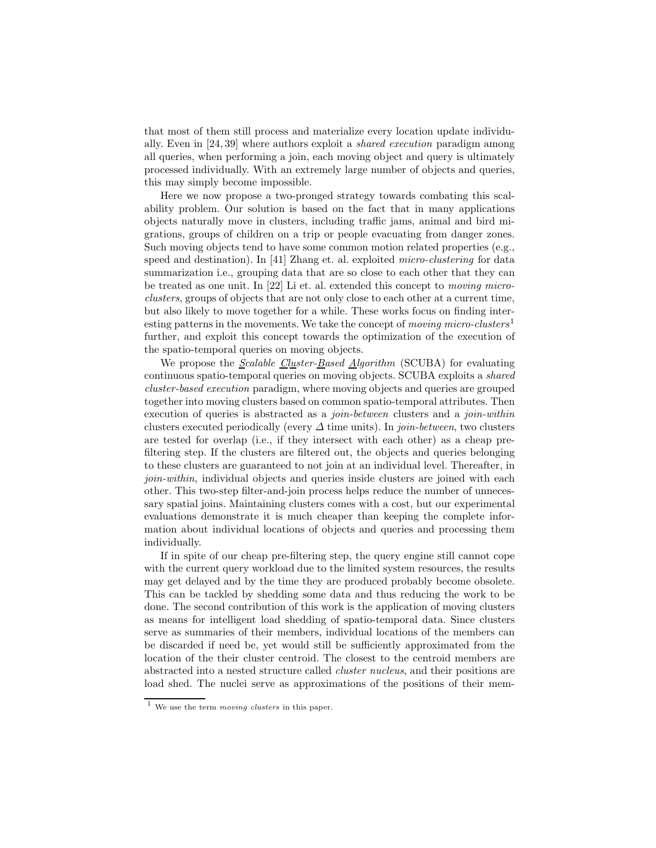that most of them still process and materialize every location update individually. Even in [24, 39] where authors exploit a shared execution paradigm among all queries, when performing a join, each moving object and query is ultimately processed individually. With an extremely large number of objects and queries, this may simply become impossible.

Here we now propose a two-pronged strategy towards combating this scalability problem. Our solution is based on the fact that in many applications objects naturally move in clusters, including traffic jams, animal and bird migrations, groups of children on a trip or people evacuating from danger zones. Such moving objects tend to have some common motion related properties (e.g., speed and destination). In [41] Zhang et. al. exploited micro-clustering for data summarization i.e., grouping data that are so close to each other that they can be treated as one unit. In [22] Li et. al. extended this concept to moving microclusters, groups of objects that are not only close to each other at a current time, but also likely to move together for a while. These works focus on finding interesting patterns in the movements. We take the concept of *moving micro-clusters*<sup>1</sup> further, and exploit this concept towards the optimization of the execution of the spatio-temporal queries on moving objects.

We propose the  $Scalable$  Cluster-Based Algorithm (SCUBA) for evaluating continuous spatio-temporal queries on moving objects. SCUBA exploits a shared cluster-based execution paradigm, where moving objects and queries are grouped together into moving clusters based on common spatio-temporal attributes. Then execution of queries is abstracted as a *join-between* clusters and a *join-within* clusters executed periodically (every  $\Delta$  time units). In join-between, two clusters are tested for overlap (i.e., if they intersect with each other) as a cheap prefiltering step. If the clusters are filtered out, the objects and queries belonging to these clusters are guaranteed to not join at an individual level. Thereafter, in join-within, individual objects and queries inside clusters are joined with each other. This two-step filter-and-join process helps reduce the number of unnecessary spatial joins. Maintaining clusters comes with a cost, but our experimental evaluations demonstrate it is much cheaper than keeping the complete information about individual locations of objects and queries and processing them individually.

If in spite of our cheap pre-filtering step, the query engine still cannot cope with the current query workload due to the limited system resources, the results may get delayed and by the time they are produced probably become obsolete. This can be tackled by shedding some data and thus reducing the work to be done. The second contribution of this work is the application of moving clusters as means for intelligent load shedding of spatio-temporal data. Since clusters serve as summaries of their members, individual locations of the members can be discarded if need be, yet would still be sufficiently approximated from the location of the their cluster centroid. The closest to the centroid members are abstracted into a nested structure called cluster nucleus, and their positions are load shed. The nuclei serve as approximations of the positions of their mem-

 $1$  We use the term *moving clusters* in this paper.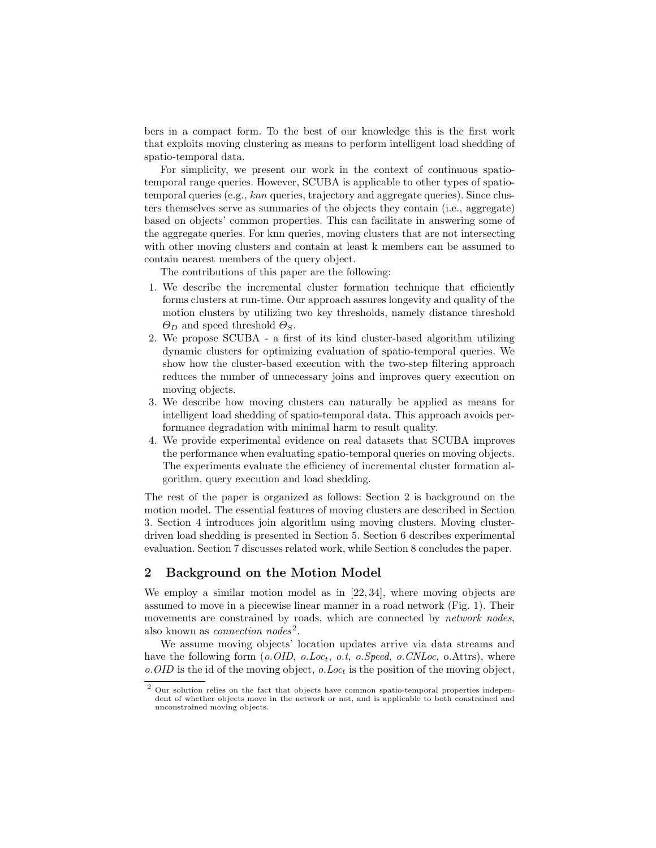bers in a compact form. To the best of our knowledge this is the first work that exploits moving clustering as means to perform intelligent load shedding of spatio-temporal data.

For simplicity, we present our work in the context of continuous spatiotemporal range queries. However, SCUBA is applicable to other types of spatiotemporal queries (e.g., knn queries, trajectory and aggregate queries). Since clusters themselves serve as summaries of the objects they contain (i.e., aggregate) based on objects' common properties. This can facilitate in answering some of the aggregate queries. For knn queries, moving clusters that are not intersecting with other moving clusters and contain at least k members can be assumed to contain nearest members of the query object.

The contributions of this paper are the following:

- 1. We describe the incremental cluster formation technique that efficiently forms clusters at run-time. Our approach assures longevity and quality of the motion clusters by utilizing two key thresholds, namely distance threshold  $\Theta_D$  and speed threshold  $\Theta_S$ .
- 2. We propose SCUBA a first of its kind cluster-based algorithm utilizing dynamic clusters for optimizing evaluation of spatio-temporal queries. We show how the cluster-based execution with the two-step filtering approach reduces the number of unnecessary joins and improves query execution on moving objects.
- 3. We describe how moving clusters can naturally be applied as means for intelligent load shedding of spatio-temporal data. This approach avoids performance degradation with minimal harm to result quality.
- 4. We provide experimental evidence on real datasets that SCUBA improves the performance when evaluating spatio-temporal queries on moving objects. The experiments evaluate the efficiency of incremental cluster formation algorithm, query execution and load shedding.

The rest of the paper is organized as follows: Section 2 is background on the motion model. The essential features of moving clusters are described in Section 3. Section 4 introduces join algorithm using moving clusters. Moving clusterdriven load shedding is presented in Section 5. Section 6 describes experimental evaluation. Section 7 discusses related work, while Section 8 concludes the paper.

## 2 Background on the Motion Model

We employ a similar motion model as in [22, 34], where moving objects are assumed to move in a piecewise linear manner in a road network (Fig. 1). Their movements are constrained by roads, which are connected by *network nodes*, also known as *connection nodes*<sup>2</sup>.

We assume moving objects' location updates arrive via data streams and have the following form  $(o. OID, o. Loc_t, o.t., o. Speed, o. CNLoc, o. Attrs)$ , where o. OID is the id of the moving object, o. Loc<sub>t</sub> is the position of the moving object,

<sup>&</sup>lt;sup>2</sup> Our solution relies on the fact that objects have common spatio-temporal properties independent of whether objects move in the network or not, and is applicable to both constrained and unconstrained moving objects.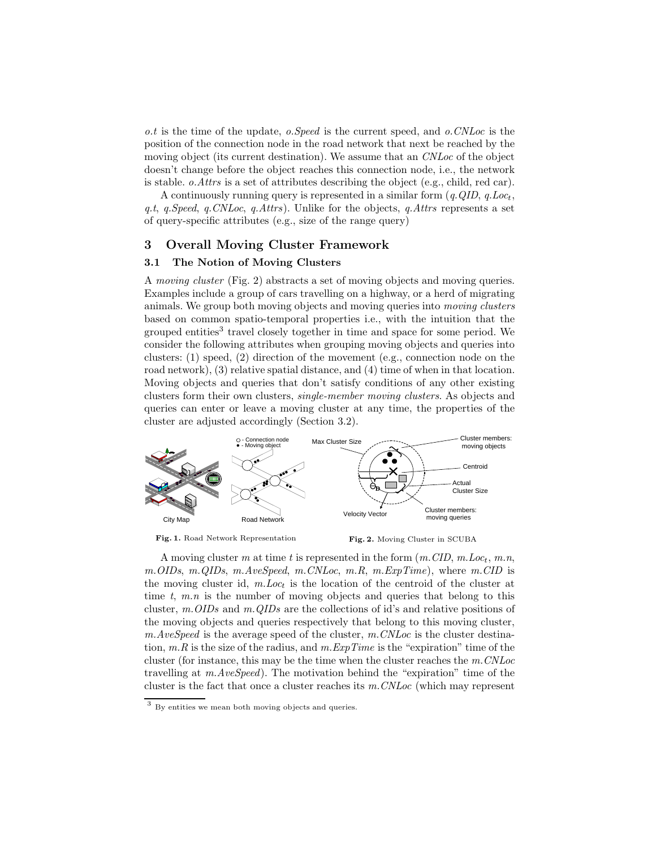o.t is the time of the update, o. Speed is the current speed, and o. CNLoc is the position of the connection node in the road network that next be reached by the moving object (its current destination). We assume that an *CNLoc* of the object doesn't change before the object reaches this connection node, i.e., the network is stable.  $o.Attrs$  is a set of attributes describing the object (e.g., child, red car).

A continuously running query is represented in a similar form  $(q. QID, q. Loc<sub>t</sub>)$ , q.t, q.Speed, q.CNLoc, q.Attrs). Unlike for the objects, q.Attrs represents a set of query-specific attributes (e.g., size of the range query)

## 3 Overall Moving Cluster Framework

#### 3.1 The Notion of Moving Clusters

A moving cluster (Fig. 2) abstracts a set of moving objects and moving queries. Examples include a group of cars travelling on a highway, or a herd of migrating animals. We group both moving objects and moving queries into moving clusters based on common spatio-temporal properties i.e., with the intuition that the grouped entities<sup>3</sup> travel closely together in time and space for some period. We consider the following attributes when grouping moving objects and queries into clusters:  $(1)$  speed,  $(2)$  direction of the movement (e.g., connection node on the road network), (3) relative spatial distance, and (4) time of when in that location. Moving objects and queries that don't satisfy conditions of any other existing clusters form their own clusters, single-member moving clusters. As objects and queries can enter or leave a moving cluster at any time, the properties of the cluster are adjusted accordingly (Section 3.2).



Fig. 1. Road Network Representation

Fig. 2. Moving Cluster in SCUBA

A moving cluster m at time t is represented in the form  $(m.CID, m.Loc_t, m.n,$ m.OIDs, m.QIDs, m.AveSpeed, m.CNLoc, m.R, m.ExpTime), where m.CID is the moving cluster id,  $mLoc<sub>t</sub>$  is the location of the centroid of the cluster at time t, m.n is the number of moving objects and queries that belong to this cluster, m.OIDs and m.QIDs are the collections of id's and relative positions of the moving objects and queries respectively that belong to this moving cluster,  $m. AveSpeed$  is the average speed of the cluster,  $m. CNLoc$  is the cluster destination,  $m.R$  is the size of the radius, and  $m.ExpTime$  is the "expiration" time of the cluster (for instance, this may be the time when the cluster reaches the m.CNLoc travelling at  $m.AveSpeed$ ). The motivation behind the "expiration" time of the cluster is the fact that once a cluster reaches its m.CNLoc (which may represent

 $\overline{3}$  By entities we mean both moving objects and queries.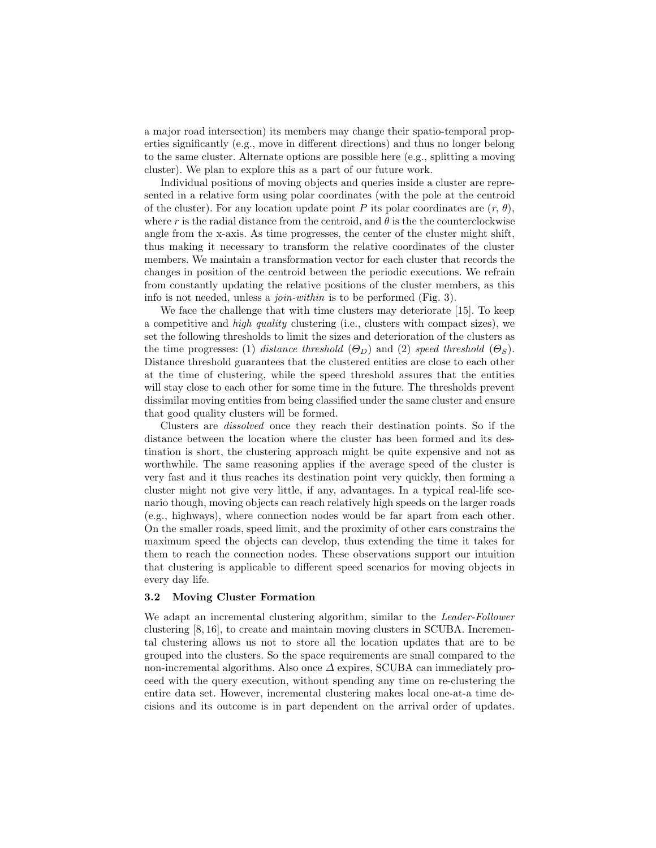a major road intersection) its members may change their spatio-temporal properties significantly (e.g., move in different directions) and thus no longer belong to the same cluster. Alternate options are possible here (e.g., splitting a moving cluster). We plan to explore this as a part of our future work.

Individual positions of moving objects and queries inside a cluster are represented in a relative form using polar coordinates (with the pole at the centroid of the cluster). For any location update point P its polar coordinates are  $(r, \theta)$ , where r is the radial distance from the centroid, and  $\theta$  is the the counterclockwise angle from the x-axis. As time progresses, the center of the cluster might shift, thus making it necessary to transform the relative coordinates of the cluster members. We maintain a transformation vector for each cluster that records the changes in position of the centroid between the periodic executions. We refrain from constantly updating the relative positions of the cluster members, as this info is not needed, unless a join-within is to be performed (Fig. 3).

We face the challenge that with time clusters may deteriorate [15]. To keep a competitive and high quality clustering (i.e., clusters with compact sizes), we set the following thresholds to limit the sizes and deterioration of the clusters as the time progresses: (1) distance threshold  $(\Theta_D)$  and (2) speed threshold  $(\Theta_S)$ . Distance threshold guarantees that the clustered entities are close to each other at the time of clustering, while the speed threshold assures that the entities will stay close to each other for some time in the future. The thresholds prevent dissimilar moving entities from being classified under the same cluster and ensure that good quality clusters will be formed.

Clusters are dissolved once they reach their destination points. So if the distance between the location where the cluster has been formed and its destination is short, the clustering approach might be quite expensive and not as worthwhile. The same reasoning applies if the average speed of the cluster is very fast and it thus reaches its destination point very quickly, then forming a cluster might not give very little, if any, advantages. In a typical real-life scenario though, moving objects can reach relatively high speeds on the larger roads (e.g., highways), where connection nodes would be far apart from each other. On the smaller roads, speed limit, and the proximity of other cars constrains the maximum speed the objects can develop, thus extending the time it takes for them to reach the connection nodes. These observations support our intuition that clustering is applicable to different speed scenarios for moving objects in every day life.

#### 3.2 Moving Cluster Formation

We adapt an incremental clustering algorithm, similar to the Leader-Follower clustering [8, 16], to create and maintain moving clusters in SCUBA. Incremental clustering allows us not to store all the location updates that are to be grouped into the clusters. So the space requirements are small compared to the non-incremental algorithms. Also once  $\Delta$  expires, SCUBA can immediately proceed with the query execution, without spending any time on re-clustering the entire data set. However, incremental clustering makes local one-at-a time decisions and its outcome is in part dependent on the arrival order of updates.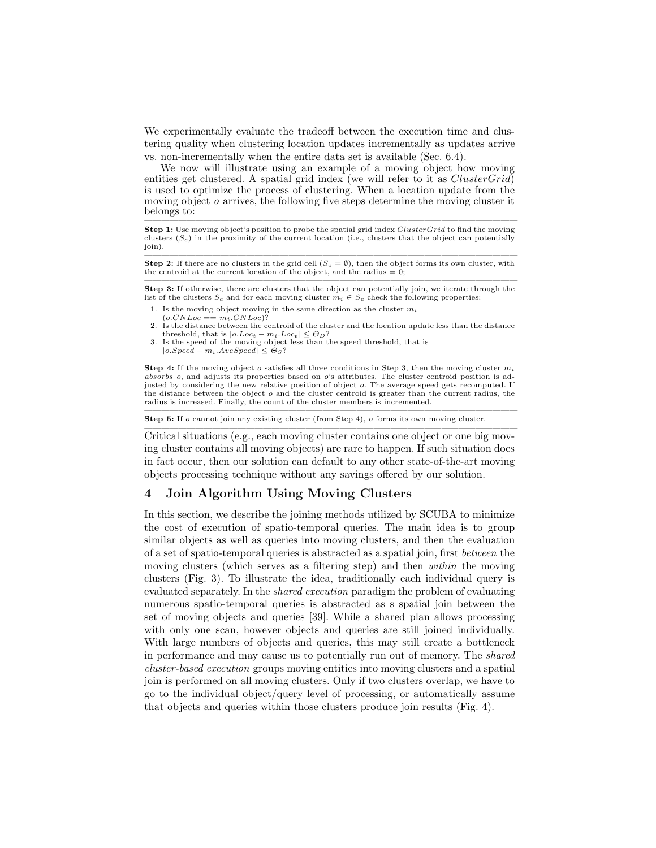We experimentally evaluate the tradeoff between the execution time and clustering quality when clustering location updates incrementally as updates arrive vs. non-incrementally when the entire data set is available (Sec. 6.4).

We now will illustrate using an example of a moving object how moving entities get clustered. A spatial grid index (we will refer to it as  $ClusterGrid$ ) is used to optimize the process of clustering. When a location update from the moving object  $\rho$  arrives, the following five steps determine the moving cluster it belongs to:

 $\overline{\textbf{Step 1:}}$  Use moving object's position to probe the spatial grid index  $ClusterGrid$  to find the moving clusters  $(S_c)$  in the proximity of the current location (i.e., clusters that the object can potentially join).

**Step 2:** If there are no clusters in the grid cell  $(S_c = \emptyset)$ , then the object forms its own cluster, with the centroid at the current location of the object, and the radius  $= 0$ ;

———————————————————————————————————————————— Step 3: If otherwise, there are clusters that the object can potentially join, we iterate through the list of the clusters  $S_c$  and for each moving cluster  $m_i \in S_c$  check the following properties:

- 1. Is the moving object moving in the same direction as the cluster  $m_i$
- $(o.CNLoc == m_i.CNLoc)$ ?<br>2. Is the distance between the centroid of the cluster and the location update less than the distance
- threshold, that is  $|o.Loc_t m_i.Loc_t| \leq \Theta_D$ ?<br>3. Is the speed of the moving object less than the speed threshold, that is  $|o.Speed - m_i.AveSpeed| \leq \Theta_S$ ?

**Step 4:** If the moving object *o* satisfies all three conditions in Step 3, then the moving cluster  $m_i$ absorbs o, and adjusts its properties based on o's attributes. The cluster centroid position is adjusted by considering the new relative position of object o. The average speed gets recomputed. If the distance between the object  $o$  and the cluster centroid is greater than the current radius, the radius is increased. Finally, the count of the cluster members is incremented.

 $\mathbf{Step~5:}$  If  $o$  cannot join any existing cluster (from Step 4),  $o$  forms its own moving cluster.

———————————————————————————————————————————— Critical situations (e.g., each moving cluster contains one object or one big moving cluster contains all moving objects) are rare to happen. If such situation does in fact occur, then our solution can default to any other state-of-the-art moving objects processing technique without any savings offered by our solution.

## 4 Join Algorithm Using Moving Clusters

In this section, we describe the joining methods utilized by SCUBA to minimize the cost of execution of spatio-temporal queries. The main idea is to group similar objects as well as queries into moving clusters, and then the evaluation of a set of spatio-temporal queries is abstracted as a spatial join, first between the moving clusters (which serves as a filtering step) and then within the moving clusters (Fig. 3). To illustrate the idea, traditionally each individual query is evaluated separately. In the shared execution paradigm the problem of evaluating numerous spatio-temporal queries is abstracted as s spatial join between the set of moving objects and queries [39]. While a shared plan allows processing with only one scan, however objects and queries are still joined individually. With large numbers of objects and queries, this may still create a bottleneck in performance and may cause us to potentially run out of memory. The shared cluster-based execution groups moving entities into moving clusters and a spatial join is performed on all moving clusters. Only if two clusters overlap, we have to go to the individual object/query level of processing, or automatically assume that objects and queries within those clusters produce join results (Fig. 4).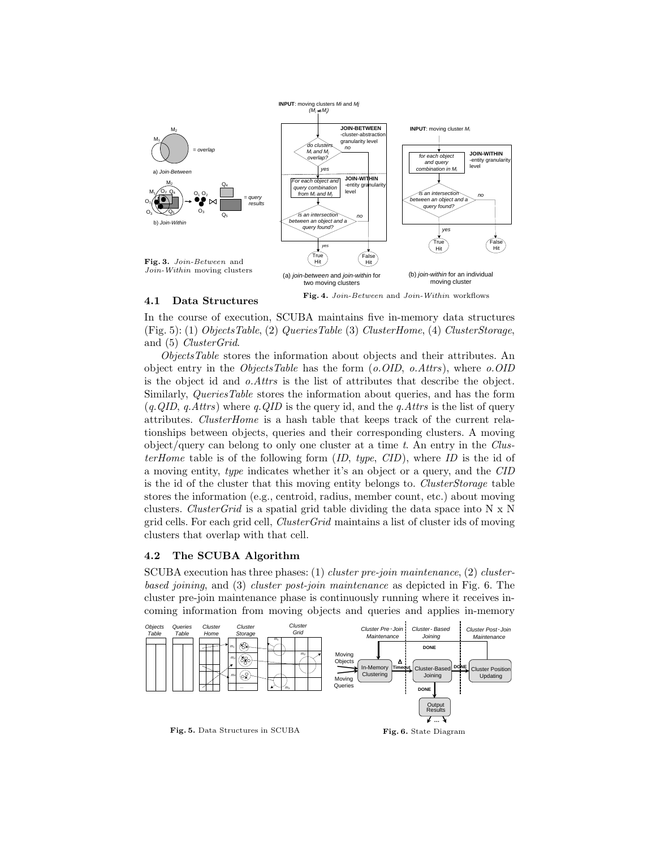

In the course of execution, SCUBA maintains five in-memory data structures (Fig. 5): (1) ObjectsTable, (2) QueriesTable (3) ClusterHome, (4) ClusterStorage, and (5) ClusterGrid.

ObjectsTable stores the information about objects and their attributes. An object entry in the *ObjectsTable* has the form  $(o. OID, o. Attrs)$ , where  $o. OID$ is the object id and o.Attrs is the list of attributes that describe the object. Similarly, *QueriesTable* stores the information about queries, and has the form  $(q.QID, q.Attrs)$  where q. $QID$  is the query id, and the q. $Attrs$  is the list of query attributes. ClusterHome is a hash table that keeps track of the current relationships between objects, queries and their corresponding clusters. A moving object/query can belong to only one cluster at a time  $t$ . An entry in the ClusterHome table is of the following form  $(ID, type, CID),$  where  $ID$  is the id of a moving entity, type indicates whether it's an object or a query, and the CID is the id of the cluster that this moving entity belongs to. ClusterStorage table stores the information (e.g., centroid, radius, member count, etc.) about moving clusters. ClusterGrid is a spatial grid table dividing the data space into  $N \times N$ grid cells. For each grid cell, ClusterGrid maintains a list of cluster ids of moving clusters that overlap with that cell.

### 4.2 The SCUBA Algorithm

SCUBA execution has three phases: (1) *cluster pre-join maintenance*, (2) *cluster*based joining, and (3) cluster post-join maintenance as depicted in Fig. 6. The cluster pre-join maintenance phase is continuously running where it receives incoming information from moving objects and queries and applies in-memory

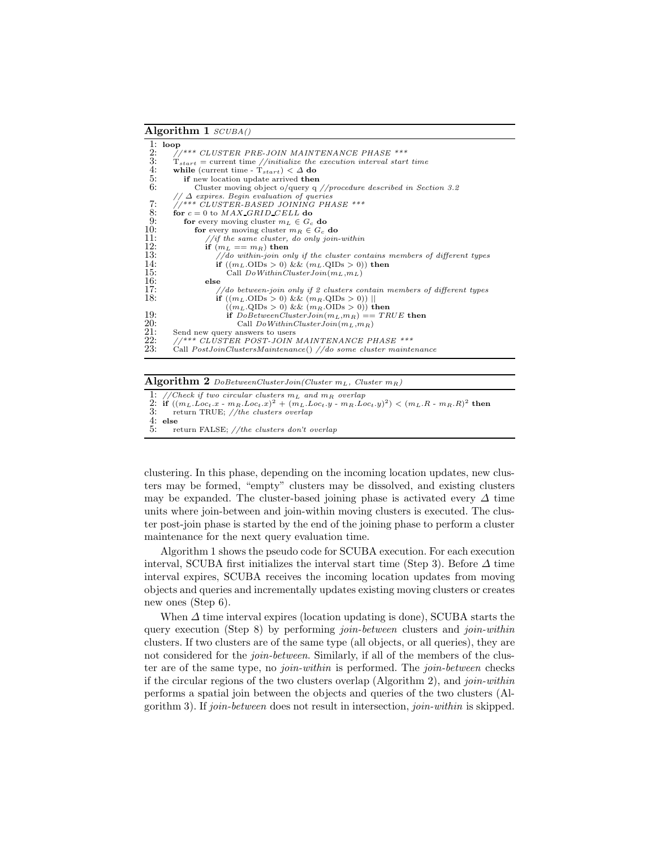Algorithm 1  $SCUBA()$ 

|                | 1: loop                                                                    |
|----------------|----------------------------------------------------------------------------|
| 2:             | //*** CLUSTER PRE-JOIN MAINTENANCE PHASE ***                               |
| 3:             | $T_{start}$ = current time //initialize the execution interval start time  |
| 4:             | while (current time - $T_{start}$ ) $\lt \Delta$ do                        |
| 5:             | if new location update arrived then                                        |
| 6:             | Cluster moving object o/query q //procedure described in Section 3.2       |
|                | // $\Delta$ expires. Begin evaluation of queries                           |
| 7:             | //*** CLUSTER-BASED JOINING PHASE ***                                      |
| 8:             | for $c = 0$ to MAX GRID CELL do                                            |
| 9:             | for every moving cluster $m_L \in G_c$ do                                  |
| 10:            | for every moving cluster $m_R \in G_c$ do                                  |
| 11:            | //if the same cluster, do only join-within                                 |
| 12:            | if $(m_L == m_R)$ then                                                     |
| 13:            | //do within-join only if the cluster contains members of different types   |
| 14:            | if $((mL.OIDs > 0)$ && $(mL.QIDs > 0))$ then                               |
| 15:            | Call $DoWithinClusterJoin(m_L, m_L)$                                       |
| 16:            | else                                                                       |
| 17:            | $// do between-join only if 2 clusters contain members of different types$ |
| 18:            | if $((m_L.\text{OIDS} > 0) \& (m_R.\text{QIDS} > 0))$                      |
|                | $((m_L, \text{QIDS} > 0) \&\& (m_R, \text{OIDS} > 0))$ then                |
| 19:            | if $DoBetweenClusterJoin(m_L, m_R) == TRUE$ then                           |
| <b>20:</b>     | Call $Do With in ClusterJoin(m_L, m_R)$                                    |
| $^{21:}_{22:}$ | Send new query answers to users                                            |
|                | //*** CLUSTER POST-JOIN MAINTENANCE PHASE ***                              |
| 23:            | Call $PostJoinClustersMaintenate()$ //do some cluster maintenance          |
|                |                                                                            |

Algorithm 2 DoBetweenClusterJoin(Cluster  $m_L$ , Cluster  $m_R$ )

1: //Check if two circular clusters  $m_L$  and  $m_R$  overlap 2: if  $((m_L.Loc_t.x - m_R.Loc_t.x)^2 + (m_L. Loc_t.y - m_R. Loc_t.y)^2) < (m_L.R - m_R.R)^2$  then 3: return TRUE; //the clusters overlap  $rac{4}{5}$ : else<br> $rac{5}{5}$ : re 5: return FALSE; //the clusters don't overlap

clustering. In this phase, depending on the incoming location updates, new clusters may be formed, "empty" clusters may be dissolved, and existing clusters may be expanded. The cluster-based joining phase is activated every  $\Delta$  time units where join-between and join-within moving clusters is executed. The cluster post-join phase is started by the end of the joining phase to perform a cluster maintenance for the next query evaluation time.

Algorithm 1 shows the pseudo code for SCUBA execution. For each execution interval, SCUBA first initializes the interval start time (Step 3). Before  $\Delta$  time interval expires, SCUBA receives the incoming location updates from moving objects and queries and incrementally updates existing moving clusters or creates new ones (Step 6).

When  $\Delta$  time interval expires (location updating is done), SCUBA starts the query execution (Step 8) by performing *join-between* clusters and *join-within* clusters. If two clusters are of the same type (all objects, or all queries), they are not considered for the *join-between*. Similarly, if all of the members of the cluster are of the same type, no join-within is performed. The join-between checks if the circular regions of the two clusters overlap (Algorithm 2), and *join-within* performs a spatial join between the objects and queries of the two clusters (Algorithm 3). If join-between does not result in intersection, join-within is skipped.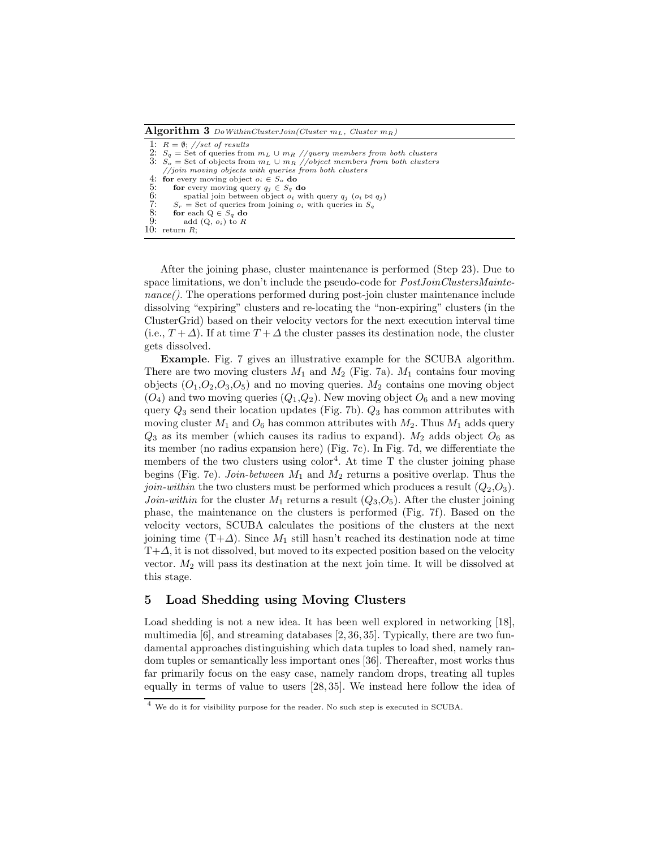Algorithm 3 DoWithinClusterJoin(Cluster  $m_L$ , Cluster  $m_R$ )

|             | 1: $R = \emptyset$ ; //set of results                                             |
|-------------|-----------------------------------------------------------------------------------|
|             | 2: $S_q =$ Set of queries from $m_L \cup m_R$ //query members from both clusters  |
|             | 3: $S_o$ = Set of objects from $m_L \cup m_R$ //object members from both clusters |
|             | $// join moving objects with queries from both clusters$                          |
|             | 4: for every moving object $o_i \in S_o$ do                                       |
| 5:          | for every moving query $q_i \in S_a$ do                                           |
| $rac{6}{7}$ | spatial join between object $o_i$ with query $q_i$ ( $o_i \bowtie q_i$ )          |
|             | $S_r$ = Set of queries from joining $o_i$ with queries in $S_q$                   |
| 8:          | for each $Q \in S_q$ do                                                           |
| 9:          | add $(Q, o_i)$ to R                                                               |
|             | 10: return $R$ :                                                                  |
|             |                                                                                   |

After the joining phase, cluster maintenance is performed (Step 23). Due to space limitations, we don't include the pseudo-code for  $PostJoinCluster8Mainte$ nance(). The operations performed during post-join cluster maintenance include dissolving "expiring" clusters and re-locating the "non-expiring" clusters (in the ClusterGrid) based on their velocity vectors for the next execution interval time (i.e.,  $T + \Delta$ ). If at time  $T + \Delta$  the cluster passes its destination node, the cluster gets dissolved.

Example. Fig. 7 gives an illustrative example for the SCUBA algorithm. There are two moving clusters  $M_1$  and  $M_2$  (Fig. 7a).  $M_1$  contains four moving objects  $(O_1,O_2,O_3,O_5)$  and no moving queries.  $M_2$  contains one moving object  $(O_4)$  and two moving queries  $(Q_1,Q_2)$ . New moving object  $O_6$  and a new moving query  $Q_3$  send their location updates (Fig. 7b).  $Q_3$  has common attributes with moving cluster  $M_1$  and  $O_6$  has common attributes with  $M_2$ . Thus  $M_1$  adds query  $Q_3$  as its member (which causes its radius to expand).  $M_2$  adds object  $O_6$  as its member (no radius expansion here) (Fig. 7c). In Fig. 7d, we differentiate the members of the two clusters using color<sup>4</sup>. At time T the cluster joining phase begins (Fig. 7e). Join-between  $M_1$  and  $M_2$  returns a positive overlap. Thus the join-within the two clusters must be performed which produces a result  $(Q_2, Q_3)$ . Join-within for the cluster  $M_1$  returns a result  $(Q_3, Q_5)$ . After the cluster joining phase, the maintenance on the clusters is performed (Fig. 7f). Based on the velocity vectors, SCUBA calculates the positions of the clusters at the next joining time  $(T+\Delta)$ . Since  $M_1$  still hasn't reached its destination node at time  $T+\Delta$ , it is not dissolved, but moved to its expected position based on the velocity vector.  $M_2$  will pass its destination at the next join time. It will be dissolved at this stage.

## 5 Load Shedding using Moving Clusters

Load shedding is not a new idea. It has been well explored in networking [18], multimedia [6], and streaming databases [2, 36, 35]. Typically, there are two fundamental approaches distinguishing which data tuples to load shed, namely random tuples or semantically less important ones [36]. Thereafter, most works thus far primarily focus on the easy case, namely random drops, treating all tuples equally in terms of value to users [28, 35]. We instead here follow the idea of

<sup>4</sup> We do it for visibility purpose for the reader. No such step is executed in SCUBA.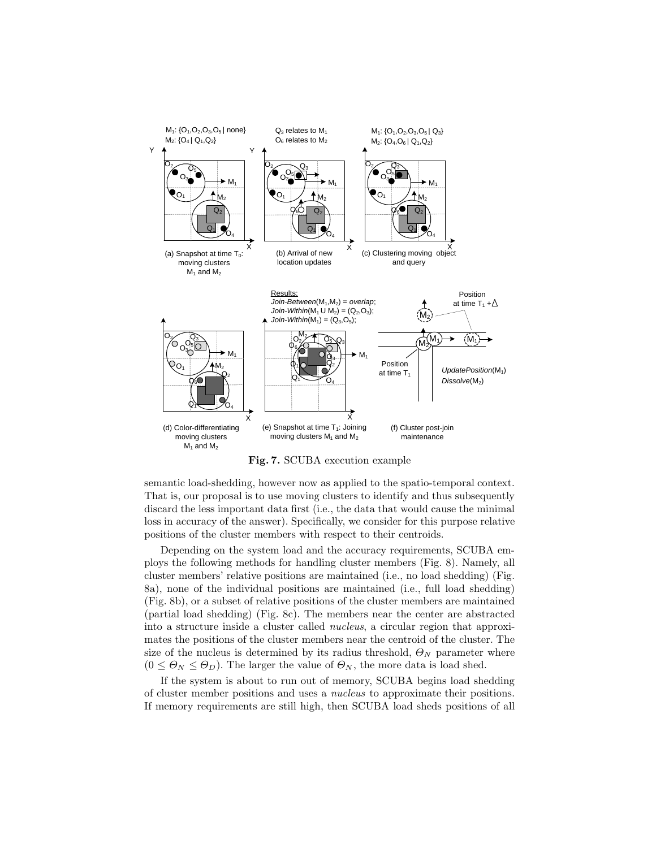

Fig. 7. SCUBA execution example

semantic load-shedding, however now as applied to the spatio-temporal context. That is, our proposal is to use moving clusters to identify and thus subsequently discard the less important data first (i.e., the data that would cause the minimal loss in accuracy of the answer). Specifically, we consider for this purpose relative positions of the cluster members with respect to their centroids.

Depending on the system load and the accuracy requirements, SCUBA employs the following methods for handling cluster members (Fig. 8). Namely, all cluster members' relative positions are maintained (i.e., no load shedding) (Fig. 8a), none of the individual positions are maintained (i.e., full load shedding) (Fig. 8b), or a subset of relative positions of the cluster members are maintained (partial load shedding) (Fig. 8c). The members near the center are abstracted into a structure inside a cluster called nucleus, a circular region that approximates the positions of the cluster members near the centroid of the cluster. The size of the nucleus is determined by its radius threshold,  $\Theta_N$  parameter where  $(0 \leq \Theta_N \leq \Theta_D)$ . The larger the value of  $\Theta_N$ , the more data is load shed.

If the system is about to run out of memory, SCUBA begins load shedding of cluster member positions and uses a nucleus to approximate their positions. If memory requirements are still high, then SCUBA load sheds positions of all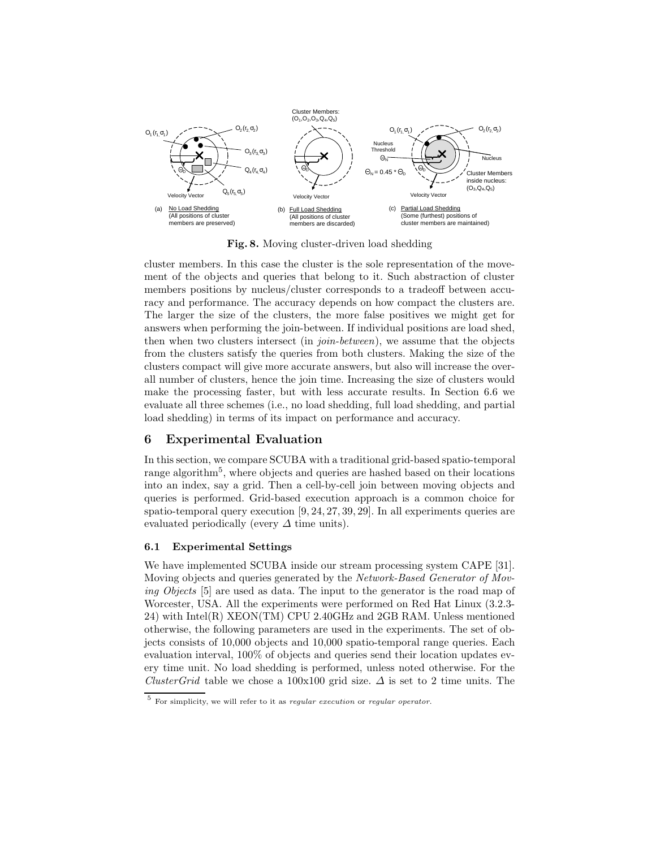

Fig. 8. Moving cluster-driven load shedding

cluster members. In this case the cluster is the sole representation of the movement of the objects and queries that belong to it. Such abstraction of cluster members positions by nucleus/cluster corresponds to a tradeoff between accuracy and performance. The accuracy depends on how compact the clusters are. The larger the size of the clusters, the more false positives we might get for answers when performing the join-between. If individual positions are load shed, then when two clusters intersect (in join-between), we assume that the objects from the clusters satisfy the queries from both clusters. Making the size of the clusters compact will give more accurate answers, but also will increase the overall number of clusters, hence the join time. Increasing the size of clusters would make the processing faster, but with less accurate results. In Section 6.6 we evaluate all three schemes (i.e., no load shedding, full load shedding, and partial load shedding) in terms of its impact on performance and accuracy.

## 6 Experimental Evaluation

In this section, we compare SCUBA with a traditional grid-based spatio-temporal range algorithm<sup>5</sup>, where objects and queries are hashed based on their locations into an index, say a grid. Then a cell-by-cell join between moving objects and queries is performed. Grid-based execution approach is a common choice for spatio-temporal query execution [9, 24, 27, 39, 29]. In all experiments queries are evaluated periodically (every  $\Delta$  time units).

## 6.1 Experimental Settings

We have implemented SCUBA inside our stream processing system CAPE [31]. Moving objects and queries generated by the Network-Based Generator of Moving Objects [5] are used as data. The input to the generator is the road map of Worcester, USA. All the experiments were performed on Red Hat Linux (3.2.3- 24) with Intel(R) XEON(TM) CPU 2.40GHz and 2GB RAM. Unless mentioned otherwise, the following parameters are used in the experiments. The set of objects consists of 10,000 objects and 10,000 spatio-temporal range queries. Each evaluation interval, 100% of objects and queries send their location updates every time unit. No load shedding is performed, unless noted otherwise. For the ClusterGrid table we chose a  $100x100$  grid size.  $\Delta$  is set to 2 time units. The

 $5$  For simplicity, we will refer to it as *regular execution* or *regular operator*.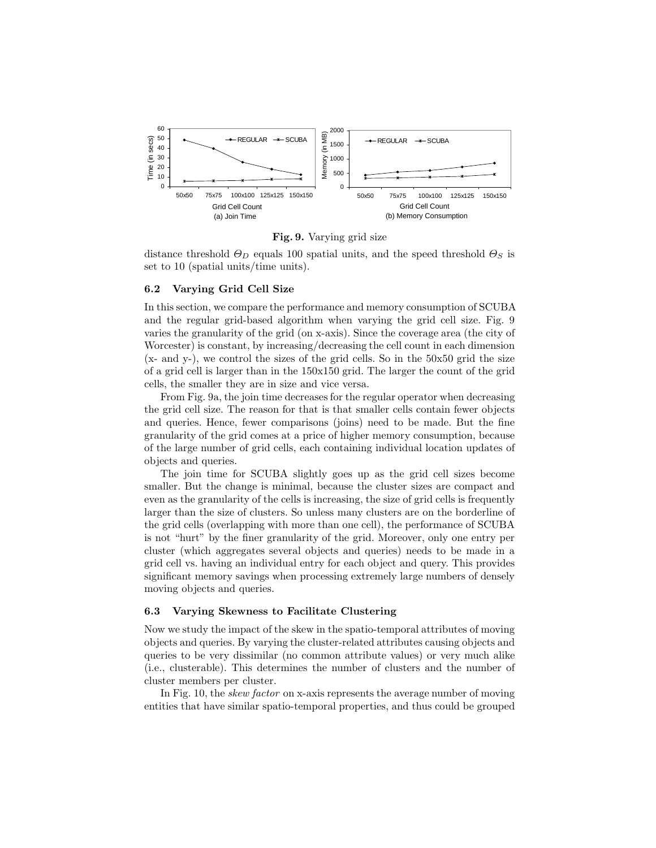

Fig. 9. Varying grid size

distance threshold  $\Theta_D$  equals 100 spatial units, and the speed threshold  $\Theta_S$  is set to 10 (spatial units/time units).

## 6.2 Varying Grid Cell Size

In this section, we compare the performance and memory consumption of SCUBA and the regular grid-based algorithm when varying the grid cell size. Fig. 9 varies the granularity of the grid (on x-axis). Since the coverage area (the city of Worcester) is constant, by increasing/decreasing the cell count in each dimension  $(x-$  and y-), we control the sizes of the grid cells. So in the  $50x50$  grid the size of a grid cell is larger than in the 150x150 grid. The larger the count of the grid cells, the smaller they are in size and vice versa.

From Fig. 9a, the join time decreases for the regular operator when decreasing the grid cell size. The reason for that is that smaller cells contain fewer objects and queries. Hence, fewer comparisons (joins) need to be made. But the fine granularity of the grid comes at a price of higher memory consumption, because of the large number of grid cells, each containing individual location updates of objects and queries.

The join time for SCUBA slightly goes up as the grid cell sizes become smaller. But the change is minimal, because the cluster sizes are compact and even as the granularity of the cells is increasing, the size of grid cells is frequently larger than the size of clusters. So unless many clusters are on the borderline of the grid cells (overlapping with more than one cell), the performance of SCUBA is not "hurt" by the finer granularity of the grid. Moreover, only one entry per cluster (which aggregates several objects and queries) needs to be made in a grid cell vs. having an individual entry for each object and query. This provides significant memory savings when processing extremely large numbers of densely moving objects and queries.

## 6.3 Varying Skewness to Facilitate Clustering

Now we study the impact of the skew in the spatio-temporal attributes of moving objects and queries. By varying the cluster-related attributes causing objects and queries to be very dissimilar (no common attribute values) or very much alike (i.e., clusterable). This determines the number of clusters and the number of cluster members per cluster.

In Fig. 10, the skew factor on x-axis represents the average number of moving entities that have similar spatio-temporal properties, and thus could be grouped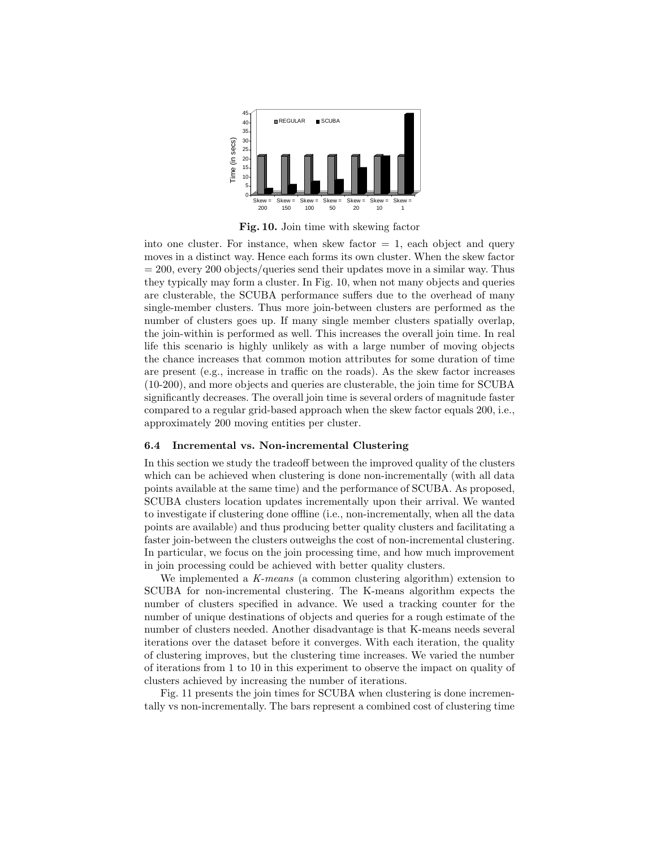

Fig. 10. Join time with skewing factor

into one cluster. For instance, when skew factor  $= 1$ , each object and query moves in a distinct way. Hence each forms its own cluster. When the skew factor  $= 200$ , every 200 objects/queries send their updates move in a similar way. Thus they typically may form a cluster. In Fig. 10, when not many objects and queries are clusterable, the SCUBA performance suffers due to the overhead of many single-member clusters. Thus more join-between clusters are performed as the number of clusters goes up. If many single member clusters spatially overlap, the join-within is performed as well. This increases the overall join time. In real life this scenario is highly unlikely as with a large number of moving objects the chance increases that common motion attributes for some duration of time are present (e.g., increase in traffic on the roads). As the skew factor increases (10-200), and more objects and queries are clusterable, the join time for SCUBA significantly decreases. The overall join time is several orders of magnitude faster compared to a regular grid-based approach when the skew factor equals 200, i.e., approximately 200 moving entities per cluster.

#### 6.4 Incremental vs. Non-incremental Clustering

In this section we study the tradeoff between the improved quality of the clusters which can be achieved when clustering is done non-incrementally (with all data points available at the same time) and the performance of SCUBA. As proposed, SCUBA clusters location updates incrementally upon their arrival. We wanted to investigate if clustering done offline (i.e., non-incrementally, when all the data points are available) and thus producing better quality clusters and facilitating a faster join-between the clusters outweighs the cost of non-incremental clustering. In particular, we focus on the join processing time, and how much improvement in join processing could be achieved with better quality clusters.

We implemented a K-means (a common clustering algorithm) extension to SCUBA for non-incremental clustering. The K-means algorithm expects the number of clusters specified in advance. We used a tracking counter for the number of unique destinations of objects and queries for a rough estimate of the number of clusters needed. Another disadvantage is that K-means needs several iterations over the dataset before it converges. With each iteration, the quality of clustering improves, but the clustering time increases. We varied the number of iterations from 1 to 10 in this experiment to observe the impact on quality of clusters achieved by increasing the number of iterations.

Fig. 11 presents the join times for SCUBA when clustering is done incrementally vs non-incrementally. The bars represent a combined cost of clustering time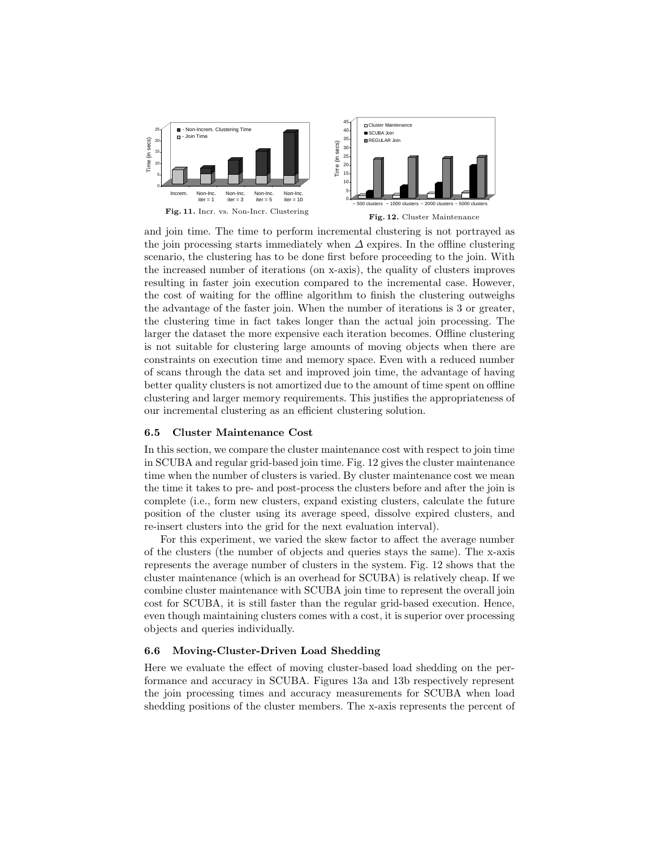

and join time. The time to perform incremental clustering is not portrayed as the join processing starts immediately when  $\Delta$  expires. In the offline clustering scenario, the clustering has to be done first before proceeding to the join. With the increased number of iterations (on x-axis), the quality of clusters improves resulting in faster join execution compared to the incremental case. However, the cost of waiting for the offline algorithm to finish the clustering outweighs the advantage of the faster join. When the number of iterations is 3 or greater, the clustering time in fact takes longer than the actual join processing. The larger the dataset the more expensive each iteration becomes. Offline clustering is not suitable for clustering large amounts of moving objects when there are constraints on execution time and memory space. Even with a reduced number of scans through the data set and improved join time, the advantage of having better quality clusters is not amortized due to the amount of time spent on offline clustering and larger memory requirements. This justifies the appropriateness of our incremental clustering as an efficient clustering solution.

## 6.5 Cluster Maintenance Cost

In this section, we compare the cluster maintenance cost with respect to join time in SCUBA and regular grid-based join time. Fig. 12 gives the cluster maintenance time when the number of clusters is varied. By cluster maintenance cost we mean the time it takes to pre- and post-process the clusters before and after the join is complete (i.e., form new clusters, expand existing clusters, calculate the future position of the cluster using its average speed, dissolve expired clusters, and re-insert clusters into the grid for the next evaluation interval).

For this experiment, we varied the skew factor to affect the average number of the clusters (the number of objects and queries stays the same). The x-axis represents the average number of clusters in the system. Fig. 12 shows that the cluster maintenance (which is an overhead for SCUBA) is relatively cheap. If we combine cluster maintenance with SCUBA join time to represent the overall join cost for SCUBA, it is still faster than the regular grid-based execution. Hence, even though maintaining clusters comes with a cost, it is superior over processing objects and queries individually.

## 6.6 Moving-Cluster-Driven Load Shedding

Here we evaluate the effect of moving cluster-based load shedding on the performance and accuracy in SCUBA. Figures 13a and 13b respectively represent the join processing times and accuracy measurements for SCUBA when load shedding positions of the cluster members. The x-axis represents the percent of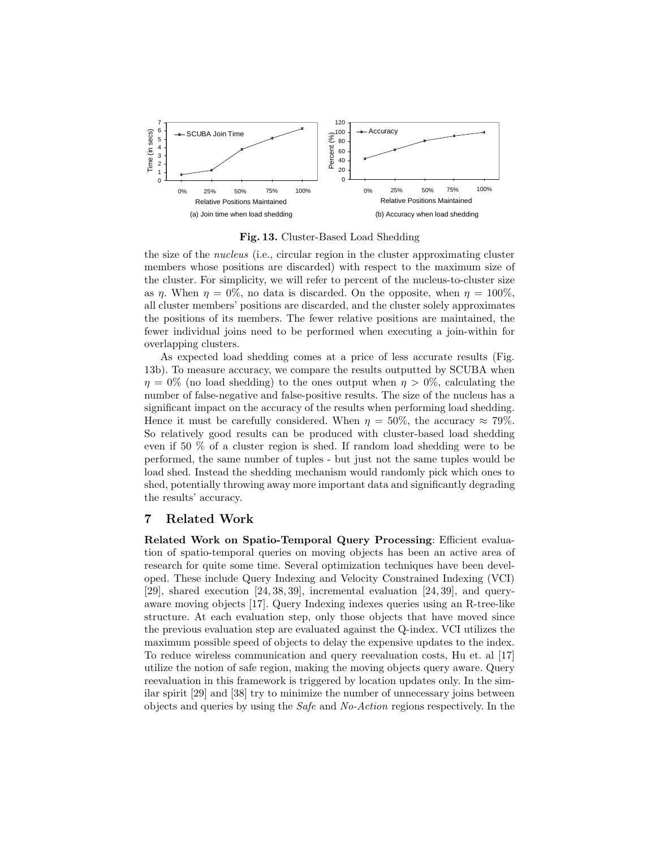

Fig. 13. Cluster-Based Load Shedding

the size of the nucleus (i.e., circular region in the cluster approximating cluster members whose positions are discarded) with respect to the maximum size of the cluster. For simplicity, we will refer to percent of the nucleus-to-cluster size as  $\eta$ . When  $\eta = 0\%$ , no data is discarded. On the opposite, when  $\eta = 100\%$ , all cluster members' positions are discarded, and the cluster solely approximates the positions of its members. The fewer relative positions are maintained, the fewer individual joins need to be performed when executing a join-within for overlapping clusters.

As expected load shedding comes at a price of less accurate results (Fig. 13b). To measure accuracy, we compare the results outputted by SCUBA when  $\eta = 0\%$  (no load shedding) to the ones output when  $\eta > 0\%$ , calculating the number of false-negative and false-positive results. The size of the nucleus has a significant impact on the accuracy of the results when performing load shedding. Hence it must be carefully considered. When  $\eta = 50\%$ , the accuracy  $\approx 79\%$ . So relatively good results can be produced with cluster-based load shedding even if 50 % of a cluster region is shed. If random load shedding were to be performed, the same number of tuples - but just not the same tuples would be load shed. Instead the shedding mechanism would randomly pick which ones to shed, potentially throwing away more important data and significantly degrading the results' accuracy.

## 7 Related Work

Related Work on Spatio-Temporal Query Processing: Efficient evaluation of spatio-temporal queries on moving objects has been an active area of research for quite some time. Several optimization techniques have been developed. These include Query Indexing and Velocity Constrained Indexing (VCI) [29], shared execution [24, 38, 39], incremental evaluation [24, 39], and queryaware moving objects [17]. Query Indexing indexes queries using an R-tree-like structure. At each evaluation step, only those objects that have moved since the previous evaluation step are evaluated against the Q-index. VCI utilizes the maximum possible speed of objects to delay the expensive updates to the index. To reduce wireless communication and query reevaluation costs, Hu et. al [17] utilize the notion of safe region, making the moving objects query aware. Query reevaluation in this framework is triggered by location updates only. In the similar spirit [29] and [38] try to minimize the number of unnecessary joins between objects and queries by using the  $Safe$  and  $No-Action$  regions respectively. In the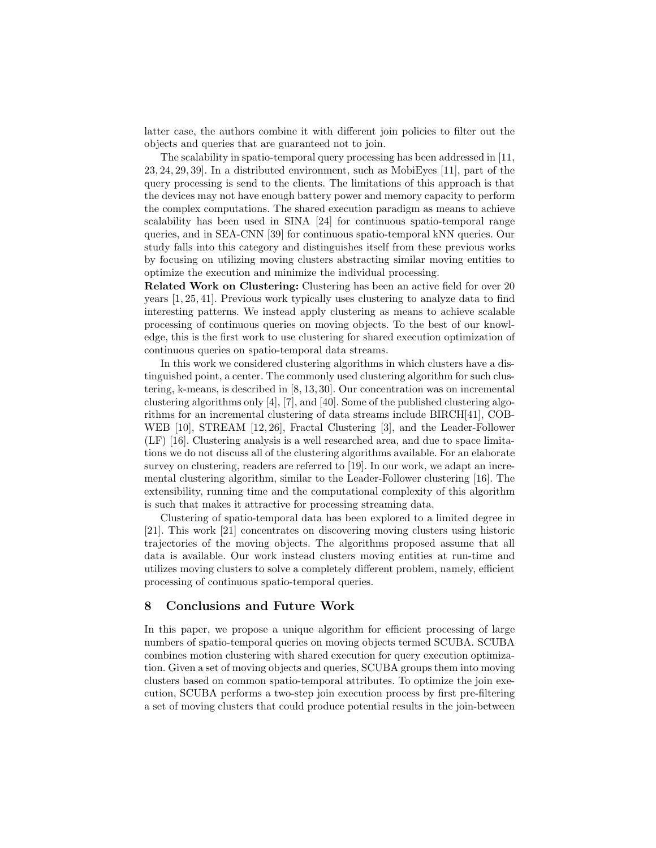latter case, the authors combine it with different join policies to filter out the objects and queries that are guaranteed not to join.

The scalability in spatio-temporal query processing has been addressed in [11, 23, 24, 29, 39]. In a distributed environment, such as MobiEyes [11], part of the query processing is send to the clients. The limitations of this approach is that the devices may not have enough battery power and memory capacity to perform the complex computations. The shared execution paradigm as means to achieve scalability has been used in SINA [24] for continuous spatio-temporal range queries, and in SEA-CNN [39] for continuous spatio-temporal kNN queries. Our study falls into this category and distinguishes itself from these previous works by focusing on utilizing moving clusters abstracting similar moving entities to optimize the execution and minimize the individual processing.

Related Work on Clustering: Clustering has been an active field for over 20 years [1, 25, 41]. Previous work typically uses clustering to analyze data to find interesting patterns. We instead apply clustering as means to achieve scalable processing of continuous queries on moving objects. To the best of our knowledge, this is the first work to use clustering for shared execution optimization of continuous queries on spatio-temporal data streams.

In this work we considered clustering algorithms in which clusters have a distinguished point, a center. The commonly used clustering algorithm for such clustering, k-means, is described in [8, 13, 30]. Our concentration was on incremental clustering algorithms only [4], [7], and [40]. Some of the published clustering algorithms for an incremental clustering of data streams include BIRCH[41], COB-WEB [10], STREAM [12, 26], Fractal Clustering [3], and the Leader-Follower (LF) [16]. Clustering analysis is a well researched area, and due to space limitations we do not discuss all of the clustering algorithms available. For an elaborate survey on clustering, readers are referred to [19]. In our work, we adapt an incremental clustering algorithm, similar to the Leader-Follower clustering [16]. The extensibility, running time and the computational complexity of this algorithm is such that makes it attractive for processing streaming data.

Clustering of spatio-temporal data has been explored to a limited degree in [21]. This work [21] concentrates on discovering moving clusters using historic trajectories of the moving objects. The algorithms proposed assume that all data is available. Our work instead clusters moving entities at run-time and utilizes moving clusters to solve a completely different problem, namely, efficient processing of continuous spatio-temporal queries.

## 8 Conclusions and Future Work

In this paper, we propose a unique algorithm for efficient processing of large numbers of spatio-temporal queries on moving objects termed SCUBA. SCUBA combines motion clustering with shared execution for query execution optimization. Given a set of moving objects and queries, SCUBA groups them into moving clusters based on common spatio-temporal attributes. To optimize the join execution, SCUBA performs a two-step join execution process by first pre-filtering a set of moving clusters that could produce potential results in the join-between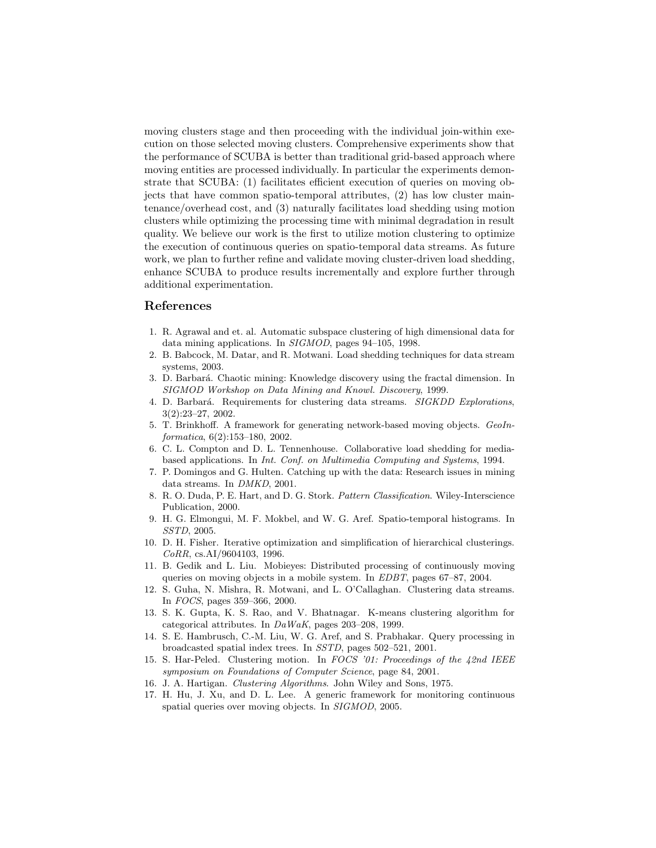moving clusters stage and then proceeding with the individual join-within execution on those selected moving clusters. Comprehensive experiments show that the performance of SCUBA is better than traditional grid-based approach where moving entities are processed individually. In particular the experiments demonstrate that SCUBA: (1) facilitates efficient execution of queries on moving objects that have common spatio-temporal attributes, (2) has low cluster maintenance/overhead cost, and (3) naturally facilitates load shedding using motion clusters while optimizing the processing time with minimal degradation in result quality. We believe our work is the first to utilize motion clustering to optimize the execution of continuous queries on spatio-temporal data streams. As future work, we plan to further refine and validate moving cluster-driven load shedding, enhance SCUBA to produce results incrementally and explore further through additional experimentation.

## References

- 1. R. Agrawal and et. al. Automatic subspace clustering of high dimensional data for data mining applications. In SIGMOD, pages 94–105, 1998.
- 2. B. Babcock, M. Datar, and R. Motwani. Load shedding techniques for data stream systems, 2003.
- 3. D. Barbar´a. Chaotic mining: Knowledge discovery using the fractal dimension. In SIGMOD Workshop on Data Mining and Knowl. Discovery, 1999.
- 4. D. Barbará. Requirements for clustering data streams. SIGKDD Explorations, 3(2):23–27, 2002.
- 5. T. Brinkhoff. A framework for generating network-based moving objects. GeoInformatica, 6(2):153–180, 2002.
- 6. C. L. Compton and D. L. Tennenhouse. Collaborative load shedding for mediabased applications. In Int. Conf. on Multimedia Computing and Systems, 1994.
- 7. P. Domingos and G. Hulten. Catching up with the data: Research issues in mining data streams. In DMKD, 2001.
- 8. R. O. Duda, P. E. Hart, and D. G. Stork. Pattern Classification. Wiley-Interscience Publication, 2000.
- 9. H. G. Elmongui, M. F. Mokbel, and W. G. Aref. Spatio-temporal histograms. In SSTD, 2005.
- 10. D. H. Fisher. Iterative optimization and simplification of hierarchical clusterings. CoRR, cs.AI/9604103, 1996.
- 11. B. Gedik and L. Liu. Mobieyes: Distributed processing of continuously moving queries on moving objects in a mobile system. In EDBT, pages 67–87, 2004.
- 12. S. Guha, N. Mishra, R. Motwani, and L. O'Callaghan. Clustering data streams. In FOCS, pages 359–366, 2000.
- 13. S. K. Gupta, K. S. Rao, and V. Bhatnagar. K-means clustering algorithm for categorical attributes. In DaWaK, pages 203–208, 1999.
- 14. S. E. Hambrusch, C.-M. Liu, W. G. Aref, and S. Prabhakar. Query processing in broadcasted spatial index trees. In SSTD, pages 502–521, 2001.
- 15. S. Har-Peled. Clustering motion. In FOCS '01: Proceedings of the 42nd IEEE symposium on Foundations of Computer Science, page 84, 2001.
- 16. J. A. Hartigan. Clustering Algorithms. John Wiley and Sons, 1975.
- 17. H. Hu, J. Xu, and D. L. Lee. A generic framework for monitoring continuous spatial queries over moving objects. In SIGMOD, 2005.